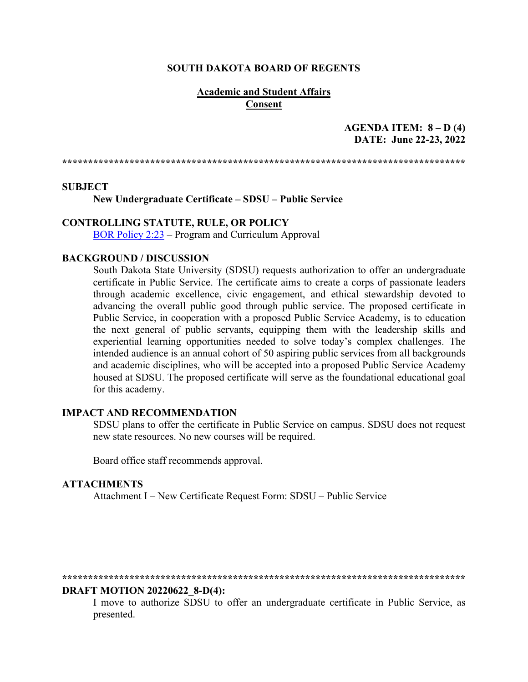#### **SOUTH DAKOTA BOARD OF REGENTS**

## **Academic and Student Affairs Consent**

## **AGENDA ITEM: 8 – D (4) DATE: June 22-23, 2022**

**\*\*\*\*\*\*\*\*\*\*\*\*\*\*\*\*\*\*\*\*\*\*\*\*\*\*\*\*\*\*\*\*\*\*\*\*\*\*\*\*\*\*\*\*\*\*\*\*\*\*\*\*\*\*\*\*\*\*\*\*\*\*\*\*\*\*\*\*\*\*\*\*\*\*\*\*\*\***

#### **SUBJECT**

**New Undergraduate Certificate – SDSU – Public Service**

# **CONTROLLING STATUTE, RULE, OR POLICY**

[BOR Policy 2:23](https://www.sdbor.edu/policy/Documents/2-23.pdf) – Program and Curriculum Approval

### **BACKGROUND / DISCUSSION**

South Dakota State University (SDSU) requests authorization to offer an undergraduate certificate in Public Service. The certificate aims to create a corps of passionate leaders through academic excellence, civic engagement, and ethical stewardship devoted to advancing the overall public good through public service. The proposed certificate in Public Service, in cooperation with a proposed Public Service Academy, is to education the next general of public servants, equipping them with the leadership skills and experiential learning opportunities needed to solve today's complex challenges. The intended audience is an annual cohort of 50 aspiring public services from all backgrounds and academic disciplines, who will be accepted into a proposed Public Service Academy housed at SDSU. The proposed certificate will serve as the foundational educational goal for this academy.

### **IMPACT AND RECOMMENDATION**

SDSU plans to offer the certificate in Public Service on campus. SDSU does not request new state resources. No new courses will be required.

Board office staff recommends approval.

### **ATTACHMENTS**

Attachment I – New Certificate Request Form: SDSU – Public Service

#### **\*\*\*\*\*\*\*\*\*\*\*\*\*\*\*\*\*\*\*\*\*\*\*\*\*\*\*\*\*\*\*\*\*\*\*\*\*\*\*\*\*\*\*\*\*\*\*\*\*\*\*\*\*\*\*\*\*\*\*\*\*\*\*\*\*\*\*\*\*\*\*\*\*\*\*\*\*\***

#### **DRAFT MOTION 20220622\_8-D(4):**

I move to authorize SDSU to offer an undergraduate certificate in Public Service, as presented.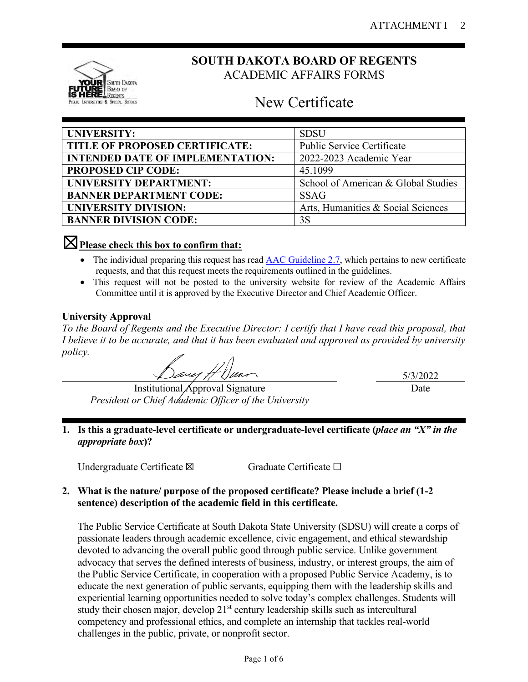

# **SOUTH DAKOTA BOARD OF REGENTS** ACADEMIC AFFAIRS FORMS

# New Certificate

| <b>UNIVERSITY:</b>                      | <b>SDSU</b>                         |
|-----------------------------------------|-------------------------------------|
| TITLE OF PROPOSED CERTIFICATE:          | <b>Public Service Certificate</b>   |
| <b>INTENDED DATE OF IMPLEMENTATION:</b> | 2022-2023 Academic Year             |
| <b>PROPOSED CIP CODE:</b>               | 45.1099                             |
| UNIVERSITY DEPARTMENT:                  | School of American & Global Studies |
| <b>BANNER DEPARTMENT CODE:</b>          | <b>SSAG</b>                         |
| <b>UNIVERSITY DIVISION:</b>             | Arts, Humanities & Social Sciences  |
| <b>BANNER DIVISION CODE:</b>            | 3S                                  |

# ☒**Please check this box to confirm that:**

- The individual preparing this request has read **AAC** Guideline 2.7, which pertains to new certificate requests, and that this request meets the requirements outlined in the guidelines.
- This request will not be posted to the university website for review of the Academic Affairs Committee until it is approved by the Executive Director and Chief Academic Officer.

# **University Approval**

*To the Board of Regents and the Executive Director: I certify that I have read this proposal, that I believe it to be accurate, and that it has been evaluated and approved as provided by university policy.*

*Dave H Dunn*<br>Institutional Approval Signature

*President or Chief Academic Officer of the University*

5/3/2022 Date

# **1. Is this a graduate-level certificate or undergraduate-level certificate (***place an "X" in the appropriate box***)?**

Undergraduate Certificate ⊠ Graduate Certificate □

# **2. What is the nature/ purpose of the proposed certificate? Please include a brief (1-2 sentence) description of the academic field in this certificate.**

The Public Service Certificate at South Dakota State University (SDSU) will create a corps of passionate leaders through academic excellence, civic engagement, and ethical stewardship devoted to advancing the overall public good through public service. Unlike government advocacy that serves the defined interests of business, industry, or interest groups, the aim of the Public Service Certificate, in cooperation with a proposed Public Service Academy, is to educate the next generation of public servants, equipping them with the leadership skills and experiential learning opportunities needed to solve today's complex challenges. Students will study their chosen major, develop  $21<sup>st</sup>$  century leadership skills such as intercultural competency and professional ethics, and complete an internship that tackles real-world challenges in the public, private, or nonprofit sector.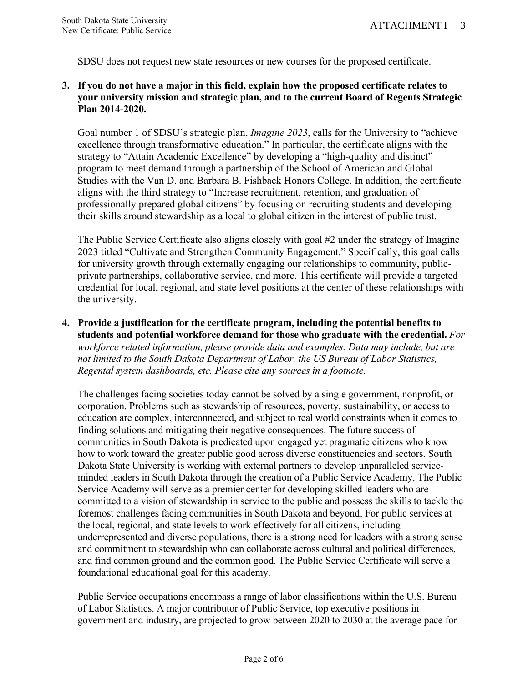SDSU does not request new state resources or new courses for the proposed certificate.

# **3. If you do not have a major in this field, explain how the proposed certificate relates to your university mission and strategic plan, and to the current Board of Regents Strategic Plan 2014-2020.**

Goal number 1 of SDSU's strategic plan, *Imagine 2023*, calls for the University to "achieve excellence through transformative education." In particular, the certificate aligns with the strategy to "Attain Academic Excellence" by developing a "high-quality and distinct" program to meet demand through a partnership of the School of American and Global Studies with the Van D. and Barbara B. Fishback Honors College. In addition, the certificate aligns with the third strategy to "Increase recruitment, retention, and graduation of professionally prepared global citizens" by focusing on recruiting students and developing their skills around stewardship as a local to global citizen in the interest of public trust.

The Public Service Certificate also aligns closely with goal #2 under the strategy of Imagine 2023 titled "Cultivate and Strengthen Community Engagement." Specifically, this goal calls for university growth through externally engaging our relationships to community, publicprivate partnerships, collaborative service, and more. This certificate will provide a targeted credential for local, regional, and state level positions at the center of these relationships with the university.

**4. Provide a justification for the certificate program, including the potential benefits to students and potential workforce demand for those who graduate with the credential.** *For workforce related information, please provide data and examples. Data may include, but are not limited to the South Dakota Department of Labor, the US Bureau of Labor Statistics, Regental system dashboards, etc. Please cite any sources in a footnote.*

The challenges facing societies today cannot be solved by a single government, nonprofit, or corporation. Problems such as stewardship of resources, poverty, sustainability, or access to education are complex, interconnected, and subject to real world constraints when it comes to finding solutions and mitigating their negative consequences. The future success of communities in South Dakota is predicated upon engaged yet pragmatic citizens who know how to work toward the greater public good across diverse constituencies and sectors. South Dakota State University is working with external partners to develop unparalleled serviceminded leaders in South Dakota through the creation of a Public Service Academy. The Public Service Academy will serve as a premier center for developing skilled leaders who are committed to a vision of stewardship in service to the public and possess the skills to tackle the foremost challenges facing communities in South Dakota and beyond. For public services at the local, regional, and state levels to work effectively for all citizens, including underrepresented and diverse populations, there is a strong need for leaders with a strong sense and commitment to stewardship who can collaborate across cultural and political differences, and find common ground and the common good. The Public Service Certificate will serve a foundational educational goal for this academy.

Public Service occupations encompass a range of labor classifications within the U.S. Bureau of Labor Statistics. A major contributor of Public Service, top executive positions in government and industry, are projected to grow between 2020 to 2030 at the average pace for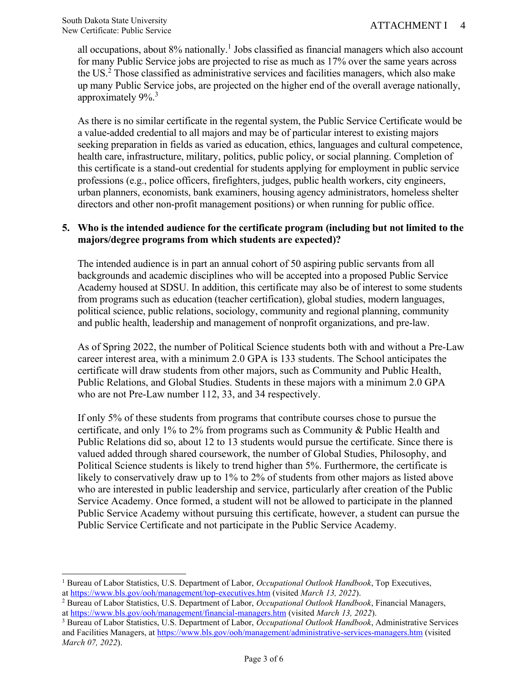all occupations, about 8% nationally.<sup>1</sup> Jobs classified as financial managers which also account for many Public Service jobs are projected to rise as much as 17% over the same years across the US.<sup>2</sup> Those classified as administrative services and facilities managers, which also make up many Public Service jobs, are projected on the higher end of the overall average nationally, approximately 9%.<sup>3</sup>

As there is no similar certificate in the regental system, the Public Service Certificate would be a value-added credential to all majors and may be of particular interest to existing majors seeking preparation in fields as varied as education, ethics, languages and cultural competence, health care, infrastructure, military, politics, public policy, or social planning. Completion of this certificate is a stand-out credential for students applying for employment in public service professions (e.g., police officers, firefighters, judges, public health workers, city engineers, urban planners, economists, bank examiners, housing agency administrators, homeless shelter directors and other non-profit management positions) or when running for public office.

# **5. Who is the intended audience for the certificate program (including but not limited to the majors/degree programs from which students are expected)?**

The intended audience is in part an annual cohort of 50 aspiring public servants from all backgrounds and academic disciplines who will be accepted into a proposed Public Service Academy housed at SDSU. In addition, this certificate may also be of interest to some students from programs such as education (teacher certification), global studies, modern languages, political science, public relations, sociology, community and regional planning, community and public health, leadership and management of nonprofit organizations, and pre-law.

As of Spring 2022, the number of Political Science students both with and without a Pre-Law career interest area, with a minimum 2.0 GPA is 133 students. The School anticipates the certificate will draw students from other majors, such as Community and Public Health, Public Relations, and Global Studies. Students in these majors with a minimum 2.0 GPA who are not Pre-Law number 112, 33, and 34 respectively.

If only 5% of these students from programs that contribute courses chose to pursue the certificate, and only 1% to 2% from programs such as Community & Public Health and Public Relations did so, about 12 to 13 students would pursue the certificate. Since there is valued added through shared coursework, the number of Global Studies, Philosophy, and Political Science students is likely to trend higher than 5%. Furthermore, the certificate is likely to conservatively draw up to 1% to 2% of students from other majors as listed above who are interested in public leadership and service, particularly after creation of the Public Service Academy. Once formed, a student will not be allowed to participate in the planned Public Service Academy without pursuing this certificate, however, a student can pursue the Public Service Certificate and not participate in the Public Service Academy.

<sup>1</sup> Bureau of Labor Statistics, U.S. Department of Labor, *Occupational Outlook Handbook*, Top Executives, a[t https://www.bls.gov/ooh/management/top-executives.htm](https://www.bls.gov/ooh/management/top-executives.htm) (visited *March 13, 2022*).

<sup>2</sup> Bureau of Labor Statistics, U.S. Department of Labor, *Occupational Outlook Handbook*, Financial Managers, a[t https://www.bls.gov/ooh/management/financial-managers.htm](https://www.bls.gov/ooh/management/financial-managers.htm) (visited *March 13, 2022*).

<sup>3</sup> Bureau of Labor Statistics, U.S. Department of Labor, *Occupational Outlook Handbook*, Administrative Services and Facilities Managers, at<https://www.bls.gov/ooh/management/administrative-services-managers.htm> (visited *March 07, 2022*).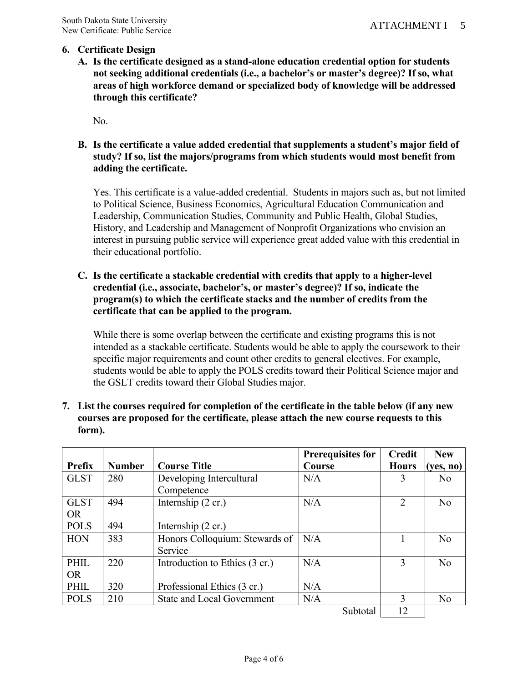# **6. Certificate Design**

**A. Is the certificate designed as a stand-alone education credential option for students not seeking additional credentials (i.e., a bachelor's or master's degree)? If so, what areas of high workforce demand or specialized body of knowledge will be addressed through this certificate?**

No.

**B. Is the certificate a value added credential that supplements a student's major field of study? If so, list the majors/programs from which students would most benefit from adding the certificate.**

Yes. This certificate is a value-added credential. Students in majors such as, but not limited to Political Science, Business Economics, Agricultural Education Communication and Leadership, Communication Studies, Community and Public Health, Global Studies, History, and Leadership and Management of Nonprofit Organizations who envision an interest in pursuing public service will experience great added value with this credential in their educational portfolio.

# **C. Is the certificate a stackable credential with credits that apply to a higher-level credential (i.e., associate, bachelor's, or master's degree)? If so, indicate the program(s) to which the certificate stacks and the number of credits from the certificate that can be applied to the program.**

While there is some overlap between the certificate and existing programs this is not intended as a stackable certificate. Students would be able to apply the coursework to their specific major requirements and count other credits to general electives. For example, students would be able to apply the POLS credits toward their Political Science major and the GSLT credits toward their Global Studies major.

| 7. List the courses required for completion of the certificate in the table below (if any new |
|-----------------------------------------------------------------------------------------------|
| courses are proposed for the certificate, please attach the new course requests to this       |
| form).                                                                                        |

|               |               |                                   | <b>Prerequisites for</b> | <b>Credit</b>  | <b>New</b>     |
|---------------|---------------|-----------------------------------|--------------------------|----------------|----------------|
| <b>Prefix</b> | <b>Number</b> | <b>Course Title</b>               | Course                   | <b>Hours</b>   | (yes, no)      |
| <b>GLST</b>   | 280           | Developing Intercultural          | N/A                      |                | N <sub>o</sub> |
|               |               | Competence                        |                          |                |                |
| <b>GLST</b>   | 494           | Internship $(2 \text{ cr.})$      | N/A                      | $\overline{2}$ | N <sub>o</sub> |
| <b>OR</b>     |               |                                   |                          |                |                |
| <b>POLS</b>   | 494           | Internship $(2 \text{ cr.})$      |                          |                |                |
| <b>HON</b>    | 383           | Honors Colloquium: Stewards of    | N/A                      |                | No             |
|               |               | Service                           |                          |                |                |
| PHIL          | 220           | Introduction to Ethics (3 cr.)    | N/A                      | 3              | N <sub>o</sub> |
| <b>OR</b>     |               |                                   |                          |                |                |
| PHIL          | 320           | Professional Ethics (3 cr.)       | N/A                      |                |                |
| <b>POLS</b>   | 210           | <b>State and Local Government</b> | N/A                      | 3              | N <sub>o</sub> |
|               |               |                                   | Subtotal                 | 12             |                |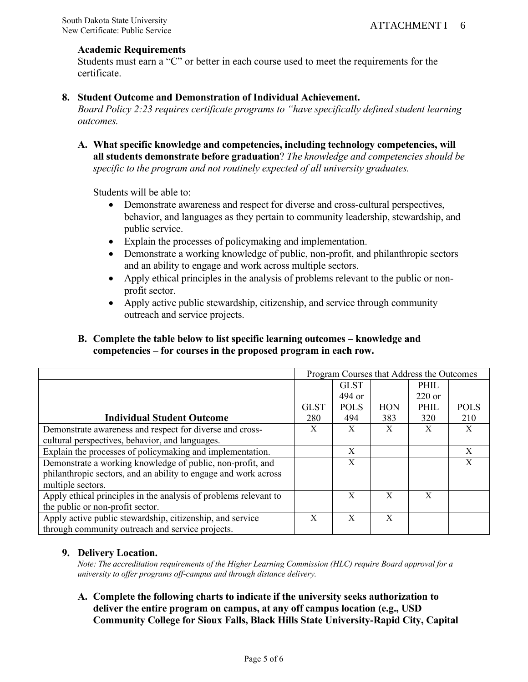## **Academic Requirements**

Students must earn a "C" or better in each course used to meet the requirements for the certificate.

# **8. Student Outcome and Demonstration of Individual Achievement.**

*Board Policy 2:23 requires certificate programs to "have specifically defined student learning outcomes.* 

**A. What specific knowledge and competencies, including technology competencies, will all students demonstrate before graduation**? *The knowledge and competencies should be specific to the program and not routinely expected of all university graduates.*

Students will be able to:

- Demonstrate awareness and respect for diverse and cross-cultural perspectives, behavior, and languages as they pertain to community leadership, stewardship, and public service.
- Explain the processes of policymaking and implementation.
- Demonstrate a working knowledge of public, non-profit, and philanthropic sectors and an ability to engage and work across multiple sectors.
- Apply ethical principles in the analysis of problems relevant to the public or nonprofit sector.
- Apply active public stewardship, citizenship, and service through community outreach and service projects.

# **B. Complete the table below to list specific learning outcomes – knowledge and competencies – for courses in the proposed program in each row.**

|                                                                  |             |             |            | Program Courses that Address the Outcomes |             |
|------------------------------------------------------------------|-------------|-------------|------------|-------------------------------------------|-------------|
|                                                                  |             | <b>GLST</b> |            | PHIL                                      |             |
|                                                                  |             | 494 or      |            | $220$ or                                  |             |
|                                                                  | <b>GLST</b> | <b>POLS</b> | <b>HON</b> | PHIL                                      | <b>POLS</b> |
| <b>Individual Student Outcome</b>                                | 280         | 494         | 383        | 320                                       | 210         |
| Demonstrate awareness and respect for diverse and cross-         | X           | X           | X          | X                                         | X           |
| cultural perspectives, behavior, and languages.                  |             |             |            |                                           |             |
| Explain the processes of policymaking and implementation.        |             | X           |            |                                           | X           |
| Demonstrate a working knowledge of public, non-profit, and       |             | X           |            |                                           | X           |
| philanthropic sectors, and an ability to engage and work across  |             |             |            |                                           |             |
| multiple sectors.                                                |             |             |            |                                           |             |
| Apply ethical principles in the analysis of problems relevant to |             | X           | X          | X                                         |             |
| the public or non-profit sector.                                 |             |             |            |                                           |             |
| Apply active public stewardship, citizenship, and service        | X           | X           | X          |                                           |             |
| through community outreach and service projects.                 |             |             |            |                                           |             |

# **9. Delivery Location.**

*Note: The accreditation requirements of the Higher Learning Commission (HLC) require Board approval for a university to offer programs off-campus and through distance delivery.*

**A. Complete the following charts to indicate if the university seeks authorization to deliver the entire program on campus, at any off campus location (e.g., USD Community College for Sioux Falls, Black Hills State University-Rapid City, Capital**